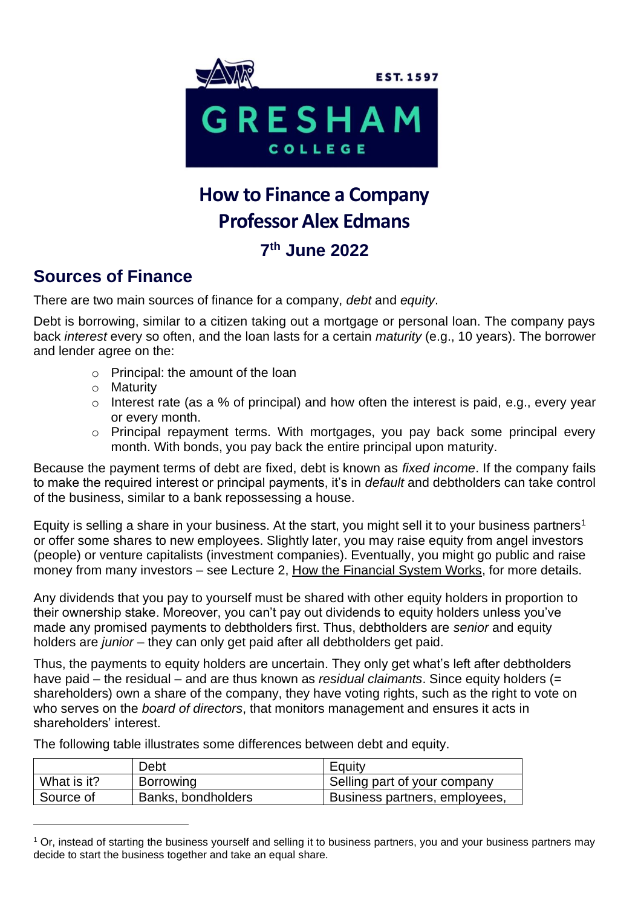

# **How to Finance a Company Professor Alex Edmans**

## **7 th June 2022**

### **Sources of Finance**

There are two main sources of finance for a company, *debt* and *equity*.

Debt is borrowing, similar to a citizen taking out a mortgage or personal loan. The company pays back *interest* every so often, and the loan lasts for a certain *maturity* (e.g., 10 years). The borrower and lender agree on the:

- o Principal: the amount of the loan
- o Maturity
- o Interest rate (as a % of principal) and how often the interest is paid, e.g., every year or every month.
- o Principal repayment terms. With mortgages, you pay back some principal every month. With bonds, you pay back the entire principal upon maturity.

Because the payment terms of debt are fixed, debt is known as *fixed income*. If the company fails to make the required interest or principal payments, it's in *default* and debtholders can take control of the business, similar to a bank repossessing a house.

Equity is selling a share in your business. At the start, you might sell it to your business partners<sup>1</sup> or offer some shares to new employees. Slightly later, you may raise equity from angel investors (people) or venture capitalists (investment companies). Eventually, you might go public and raise money from many investors – see Lecture 2, How the Financial System Works, for more details.

Any dividends that you pay to yourself must be shared with other equity holders in proportion to their ownership stake. Moreover, you can't pay out dividends to equity holders unless you've made any promised payments to debtholders first. Thus, debtholders are *senior* and equity holders are *junior* – they can only get paid after all debtholders get paid.

Thus, the payments to equity holders are uncertain. They only get what's left after debtholders have paid – the residual – and are thus known as *residual claimants*. Since equity holders (= shareholders) own a share of the company, they have voting rights, such as the right to vote on who serves on the *board of directors*, that monitors management and ensures it acts in shareholders' interest.

The following table illustrates some differences between debt and equity.

|             | Debt               | Equity                        |
|-------------|--------------------|-------------------------------|
| What is it? | <b>Borrowing</b>   | Selling part of your company  |
| Source of   | Banks, bondholders | Business partners, employees, |

<sup>&</sup>lt;sup>1</sup> Or, instead of starting the business yourself and selling it to business partners, you and your business partners may decide to start the business together and take an equal share.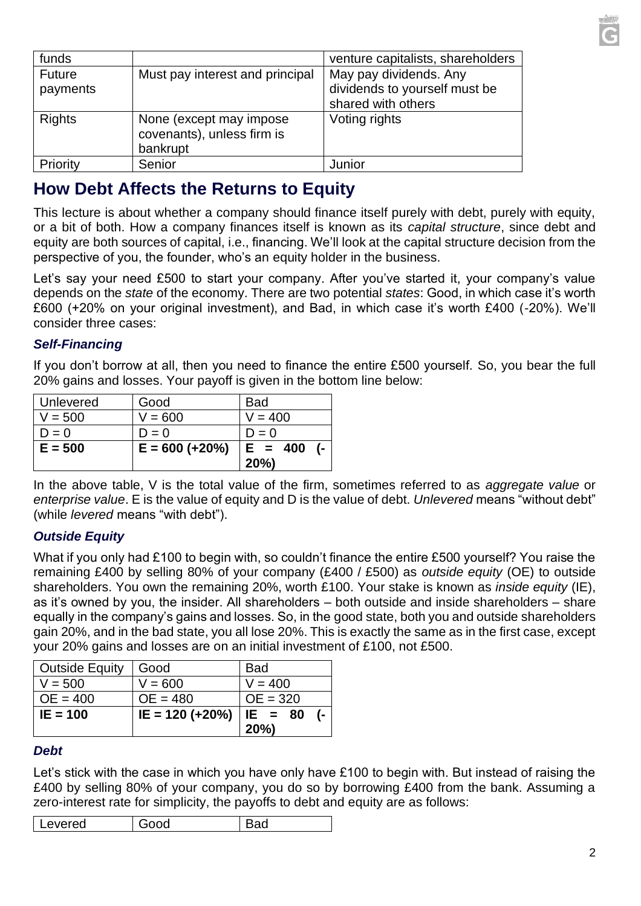| funds                     |                                                                    | venture capitalists, shareholders                                             |
|---------------------------|--------------------------------------------------------------------|-------------------------------------------------------------------------------|
| <b>Future</b><br>payments | Must pay interest and principal                                    | May pay dividends. Any<br>dividends to yourself must be<br>shared with others |
| <b>Rights</b>             | None (except may impose)<br>covenants), unless firm is<br>bankrupt | Voting rights                                                                 |
| Priority                  | Senior                                                             | Junior                                                                        |

## **How Debt Affects the Returns to Equity**

This lecture is about whether a company should finance itself purely with debt, purely with equity, or a bit of both. How a company finances itself is known as its *capital structure*, since debt and equity are both sources of capital, i.e., financing. We'll look at the capital structure decision from the perspective of you, the founder, who's an equity holder in the business.

Let's say your need £500 to start your company. After you've started it, your company's value depends on the *state* of the economy. There are two potential *states*: Good, in which case it's worth £600 (+20% on your original investment), and Bad, in which case it's worth £400 (-20%). We'll consider three cases:

#### *Self-Financing*

If you don't borrow at all, then you need to finance the entire £500 yourself. So, you bear the full 20% gains and losses. Your payoff is given in the bottom line below:

|           |                   | 20%                     |
|-----------|-------------------|-------------------------|
| $E = 500$ | $E = 600 (+20\%)$ | $E = 400$<br>$\sqrt{2}$ |
| $D = 0$   | $D = 0$           | $D = 0$                 |
| $V = 500$ | $V = 600$         | $V = 400$               |
| Unlevered | Good              | <b>Bad</b>              |

In the above table, V is the total value of the firm, sometimes referred to as *aggregate value* or *enterprise value*. E is the value of equity and D is the value of debt. *Unlevered* means "without debt" (while *levered* means "with debt").

#### *Outside Equity*

What if you only had £100 to begin with, so couldn't finance the entire £500 yourself? You raise the remaining £400 by selling 80% of your company (£400 / £500) as *outside equity* (OE) to outside shareholders. You own the remaining 20%, worth £100. Your stake is known as *inside equity* (IE), as it's owned by you, the insider. All shareholders – both outside and inside shareholders – share equally in the company's gains and losses. So, in the good state, both you and outside shareholders gain 20%, and in the bad state, you all lose 20%. This is exactly the same as in the first case, except your 20% gains and losses are on an initial investment of £100, not £500.

| <b>Outside Equity</b> | Good              | <b>Bad</b> |
|-----------------------|-------------------|------------|
| $V = 500$             | $V = 600$         | $V = 400$  |
| $OE = 400$            | $OE = 480$        | $OE = 320$ |
| $IE = 100$            | $IE = 120 (+20%)$ | $ IE = 80$ |
|                       |                   | 20%        |

#### *Debt*

Let's stick with the case in which you have only have £100 to begin with. But instead of raising the £400 by selling 80% of your company, you do so by borrowing £400 from the bank. Assuming a zero-interest rate for simplicity, the payoffs to debt and equity are as follows:

|  |  | evered |  |  |
|--|--|--------|--|--|
|--|--|--------|--|--|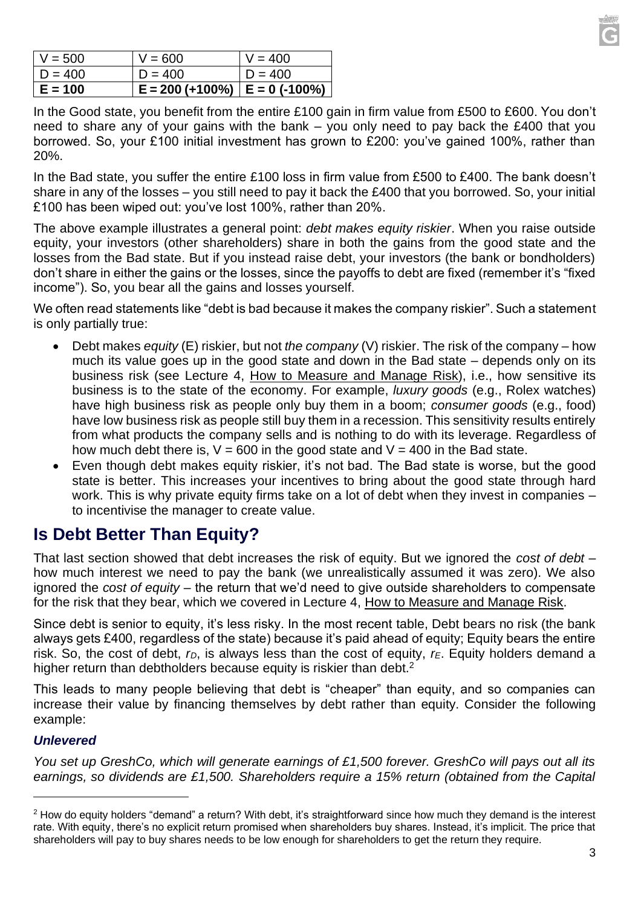| $V = 500$ | $V = 600$                            | $V = 400$ |
|-----------|--------------------------------------|-----------|
| $D = 400$ | $D = 400$                            | $D = 400$ |
| E = 100   | $E = 200 (+100\%)$   $E = 0$ (-100%) |           |

In the Good state, you benefit from the entire £100 gain in firm value from £500 to £600. You don't need to share any of your gains with the bank – you only need to pay back the £400 that you borrowed. So, your £100 initial investment has grown to £200: you've gained 100%, rather than 20%.

In the Bad state, you suffer the entire £100 loss in firm value from £500 to £400. The bank doesn't share in any of the losses – you still need to pay it back the £400 that you borrowed. So, your initial £100 has been wiped out: you've lost 100%, rather than 20%.

The above example illustrates a general point: *debt makes equity riskier*. When you raise outside equity, your investors (other shareholders) share in both the gains from the good state and the losses from the Bad state. But if you instead raise debt, your investors (the bank or bondholders) don't share in either the gains or the losses, since the payoffs to debt are fixed (remember it's "fixed income"). So, you bear all the gains and losses yourself.

We often read statements like "debt is bad because it makes the company riskier". Such a statement is only partially true:

- Debt makes *equity* (E) riskier, but not *the company* (V) riskier. The risk of the company how much its value goes up in the good state and down in the Bad state – depends only on its business risk (see Lecture 4, How to Measure and Manage Risk), i.e., how sensitive its business is to the state of the economy. For example, *luxury goods* (e.g., Rolex watches) have high business risk as people only buy them in a boom; *consumer goods* (e.g., food) have low business risk as people still buy them in a recession. This sensitivity results entirely from what products the company sells and is nothing to do with its leverage. Regardless of how much debt there is,  $V = 600$  in the good state and  $V = 400$  in the Bad state.
- Even though debt makes equity riskier, it's not bad. The Bad state is worse, but the good state is better. This increases your incentives to bring about the good state through hard work. This is why private equity firms take on a lot of debt when they invest in companies – to incentivise the manager to create value.

## **Is Debt Better Than Equity?**

That last section showed that debt increases the risk of equity. But we ignored the *cost of debt* – how much interest we need to pay the bank (we unrealistically assumed it was zero). We also ignored the *cost of equity* – the return that we'd need to give outside shareholders to compensate for the risk that they bear, which we covered in Lecture 4, How to Measure and Manage Risk.

Since debt is senior to equity, it's less risky. In the most recent table, Debt bears no risk (the bank always gets £400, regardless of the state) because it's paid ahead of equity; Equity bears the entire risk. So, the cost of debt, *rD*, is always less than the cost of equity, *rE*. Equity holders demand a higher return than debtholders because equity is riskier than debt.<sup>2</sup>

This leads to many people believing that debt is "cheaper" than equity, and so companies can increase their value by financing themselves by debt rather than equity. Consider the following example:

#### *Unlevered*

*You set up GreshCo, which will generate earnings of £1,500 forever. GreshCo will pays out all its earnings, so dividends are £1,500. Shareholders require a 15% return (obtained from the Capital* 

 $2$  How do equity holders "demand" a return? With debt, it's straightforward since how much they demand is the interest rate. With equity, there's no explicit return promised when shareholders buy shares. Instead, it's implicit. The price that shareholders will pay to buy shares needs to be low enough for shareholders to get the return they require.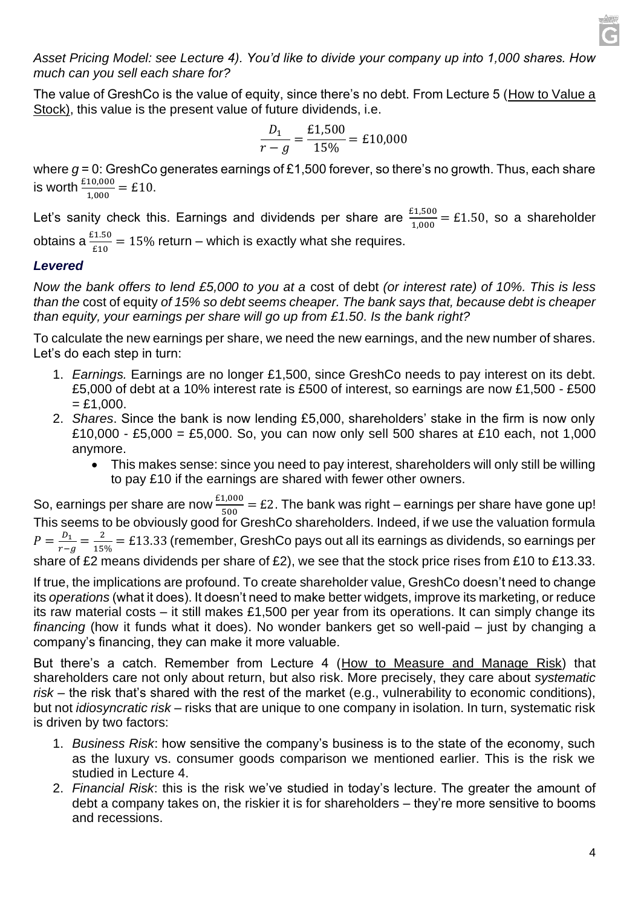*Asset Pricing Model: see Lecture 4). You'd like to divide your company up into 1,000 shares. How much can you sell each share for?*

The value of GreshCo is the value of equity, since there's no debt. From Lecture 5 (How to Value a Stock), this value is the present value of future dividends, i.e.

$$
\frac{D_1}{r - g} = \frac{£1,500}{15\%} = £10,000
$$

where  $g = 0$ : GreshCo generates earnings of £1,500 forever, so there's no growth. Thus, each share is worth  $\frac{\text{\pounds}10,000}{1,000}$  = £10.

Let's sanity check this. Earnings and dividends per share are  $\frac{\text{\pounds}{1,500}}{1,000}$  = £1.50, so a shareholder

obtains a  $\frac{\varepsilon_{1.50}}{\varepsilon_{10}}$  = 15% return – which is exactly what she requires.

#### *Levered*

*Now the bank offers to lend £5,000 to you at a* cost of debt *(or interest rate) of 10%. This is less than the* cost of equity *of 15% so debt seems cheaper. The bank says that, because debt is cheaper than equity, your earnings per share will go up from £1.50. Is the bank right?* 

To calculate the new earnings per share, we need the new earnings, and the new number of shares. Let's do each step in turn:

- 1. *Earnings.* Earnings are no longer £1,500, since GreshCo needs to pay interest on its debt. £5,000 of debt at a 10% interest rate is £500 of interest, so earnings are now £1,500 - £500  $=$  £1,000.
- 2. *Shares*. Since the bank is now lending £5,000, shareholders' stake in the firm is now only £10,000 - £5,000 = £5,000. So, you can now only sell 500 shares at £10 each, not 1,000 anymore.
	- This makes sense: since you need to pay interest, shareholders will only still be willing to pay £10 if the earnings are shared with fewer other owners.

So, earnings per share are now  $\frac{E1,000}{500}$  = £2. The bank was right – earnings per share have gone up! This seems to be obviously good for GreshCo shareholders. Indeed, if we use the valuation formula  $P=\frac{D_1}{r}$  $\frac{D_1}{r-g} = \frac{2}{15^6}$  $\frac{2}{15\%}$  = £13.33 (remember, GreshCo pays out all its earnings as dividends, so earnings per share of £2 means dividends per share of £2), we see that the stock price rises from £10 to £13.33.

If true, the implications are profound. To create shareholder value, GreshCo doesn't need to change its *operations* (what it does). It doesn't need to make better widgets, improve its marketing, or reduce its raw material costs – it still makes £1,500 per year from its operations. It can simply change its *financing* (how it funds what it does). No wonder bankers get so well-paid – just by changing a company's financing, they can make it more valuable.

But there's a catch. Remember from Lecture 4 (How to Measure and Manage Risk) that shareholders care not only about return, but also risk. More precisely, they care about *systematic risk* – the risk that's shared with the rest of the market (e.g., vulnerability to economic conditions), but not *idiosyncratic risk* – risks that are unique to one company in isolation. In turn, systematic risk is driven by two factors:

- 1. *Business Risk*: how sensitive the company's business is to the state of the economy, such as the luxury vs. consumer goods comparison we mentioned earlier. This is the risk we studied in Lecture 4.
- 2. *Financial Risk*: this is the risk we've studied in today's lecture. The greater the amount of debt a company takes on, the riskier it is for shareholders – they're more sensitive to booms and recessions.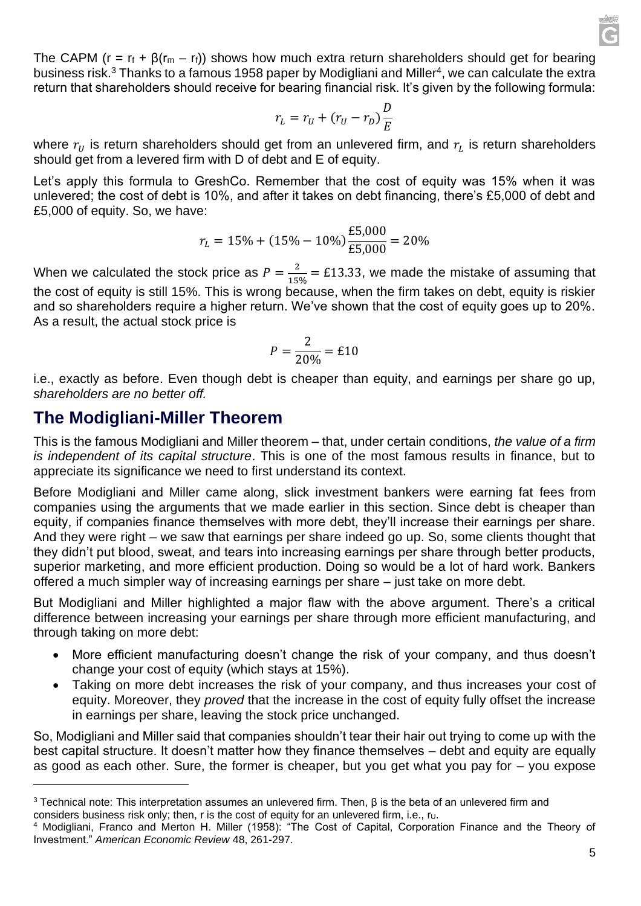The CAPM (r =  $r_f$  +  $\beta(r_m - r_f)$ ) shows how much extra return shareholders should get for bearing business risk.<sup>3</sup> Thanks to a famous 1958 paper by Modigliani and Miller<sup>4</sup>, we can calculate the extra return that shareholders should receive for bearing financial risk. It's given by the following formula:

$$
r_L = r_U + (r_U - r_D) \frac{D}{E}
$$

where  $r_U$  is return shareholders should get from an unlevered firm, and  $r_L$  is return shareholders should get from a levered firm with D of debt and E of equity.

Let's apply this formula to GreshCo. Remember that the cost of equity was 15% when it was unlevered; the cost of debt is 10%, and after it takes on debt financing, there's £5,000 of debt and £5,000 of equity. So, we have:

$$
r_L = 15\% + (15\% - 10\%) \frac{\text{£}5,000}{\text{£}5,000} = 20\%
$$

When we calculated the stock price as  $P=\frac{2}{15}$  $\frac{2}{15\%}$  = £13.33, we made the mistake of assuming that the cost of equity is still 15%. This is wrong because, when the firm takes on debt, equity is riskier and so shareholders require a higher return. We've shown that the cost of equity goes up to 20%. As a result, the actual stock price is

$$
P = \frac{2}{20\%} = \pounds 10
$$

i.e., exactly as before. Even though debt is cheaper than equity, and earnings per share go up, *shareholders are no better off.*

### **The Modigliani-Miller Theorem**

This is the famous Modigliani and Miller theorem – that, under certain conditions, *the value of a firm is independent of its capital structure*. This is one of the most famous results in finance, but to appreciate its significance we need to first understand its context.

Before Modigliani and Miller came along, slick investment bankers were earning fat fees from companies using the arguments that we made earlier in this section. Since debt is cheaper than equity, if companies finance themselves with more debt, they'll increase their earnings per share. And they were right – we saw that earnings per share indeed go up. So, some clients thought that they didn't put blood, sweat, and tears into increasing earnings per share through better products, superior marketing, and more efficient production. Doing so would be a lot of hard work. Bankers offered a much simpler way of increasing earnings per share – just take on more debt.

But Modigliani and Miller highlighted a major flaw with the above argument. There's a critical difference between increasing your earnings per share through more efficient manufacturing, and through taking on more debt:

- More efficient manufacturing doesn't change the risk of your company, and thus doesn't change your cost of equity (which stays at 15%).
- Taking on more debt increases the risk of your company, and thus increases your cost of equity. Moreover, they *proved* that the increase in the cost of equity fully offset the increase in earnings per share, leaving the stock price unchanged.

So, Modigliani and Miller said that companies shouldn't tear their hair out trying to come up with the best capital structure. It doesn't matter how they finance themselves – debt and equity are equally as good as each other. Sure, the former is cheaper, but you get what you pay for – you expose

 $3$  Technical note: This interpretation assumes an unlevered firm. Then, β is the beta of an unlevered firm and considers business risk only; then, r is the cost of equity for an unlevered firm, i.e.,  $r_U$ .

<sup>4</sup> Modigliani, Franco and Merton H. Miller (1958): "The Cost of Capital, Corporation Finance and the Theory of Investment." *American Economic Review* 48, 261-297.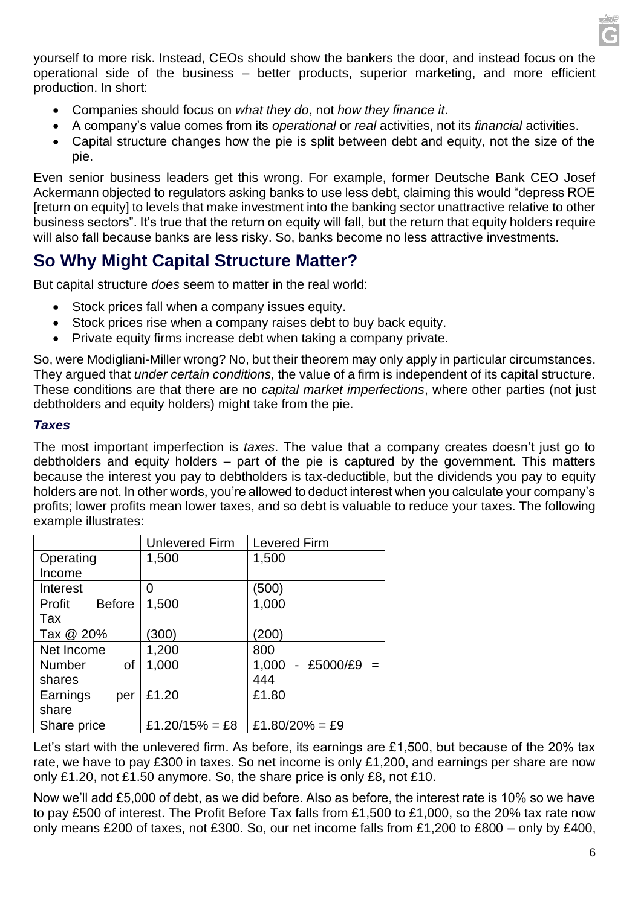

yourself to more risk. Instead, CEOs should show the bankers the door, and instead focus on the operational side of the business – better products, superior marketing, and more efficient production. In short:

- Companies should focus on *what they do*, not *how they finance it*.
- A company's value comes from its *operational* or *real* activities, not its *financial* activities.
- Capital structure changes how the pie is split between debt and equity, not the size of the pie.

Even senior business leaders get this wrong. For example, former Deutsche Bank CEO Josef Ackermann objected to regulators asking banks to use less debt, claiming this would "depress ROE [return on equity] to levels that make investment into the banking sector unattractive relative to other business sectors". It's true that the return on equity will fall, but the return that equity holders require will also fall because banks are less risky. So, banks become no less attractive investments.

### **So Why Might Capital Structure Matter?**

But capital structure *does* seem to matter in the real world:

- Stock prices fall when a company issues equity.
- Stock prices rise when a company raises debt to buy back equity.
- Private equity firms increase debt when taking a company private.

So, were Modigliani-Miller wrong? No, but their theorem may only apply in particular circumstances. They argued that *under certain conditions,* the value of a firm is independent of its capital structure. These conditions are that there are no *capital market imperfections*, where other parties (not just debtholders and equity holders) might take from the pie.

#### *Taxes*

The most important imperfection is *taxes*. The value that a company creates doesn't just go to debtholders and equity holders – part of the pie is captured by the government. This matters because the interest you pay to debtholders is tax-deductible, but the dividends you pay to equity holders are not. In other words, you're allowed to deduct interest when you calculate your company's profits; lower profits mean lower taxes, and so debt is valuable to reduce your taxes. The following example illustrates:

|                         | <b>Unlevered Firm</b> | <b>Levered Firm</b>  |
|-------------------------|-----------------------|----------------------|
| Operating               | 1,500                 | 1,500                |
| Income                  |                       |                      |
| Interest                | O                     | (500)                |
| <b>Before</b><br>Profit | 1,500                 | 1,000                |
| Tax                     |                       |                      |
| Tax @ 20%               | (300)                 | (200)                |
| Net Income              | 1,200                 | 800                  |
| <b>Number</b><br>οf     | 1,000                 | $1,000 - £5000/E9 =$ |
| shares                  |                       | 444                  |
| Earnings<br>per         | £1.20                 | £1.80                |
| share                   |                       |                      |
| Share price             | £1.20/15% = £8        | £1.80/20% = £9       |

Let's start with the unlevered firm. As before, its earnings are £1,500, but because of the 20% tax rate, we have to pay £300 in taxes. So net income is only £1,200, and earnings per share are now only £1.20, not £1.50 anymore. So, the share price is only £8, not £10.

Now we'll add £5,000 of debt, as we did before. Also as before, the interest rate is 10% so we have to pay £500 of interest. The Profit Before Tax falls from £1,500 to £1,000, so the 20% tax rate now only means £200 of taxes, not £300. So, our net income falls from £1,200 to £800 – only by £400,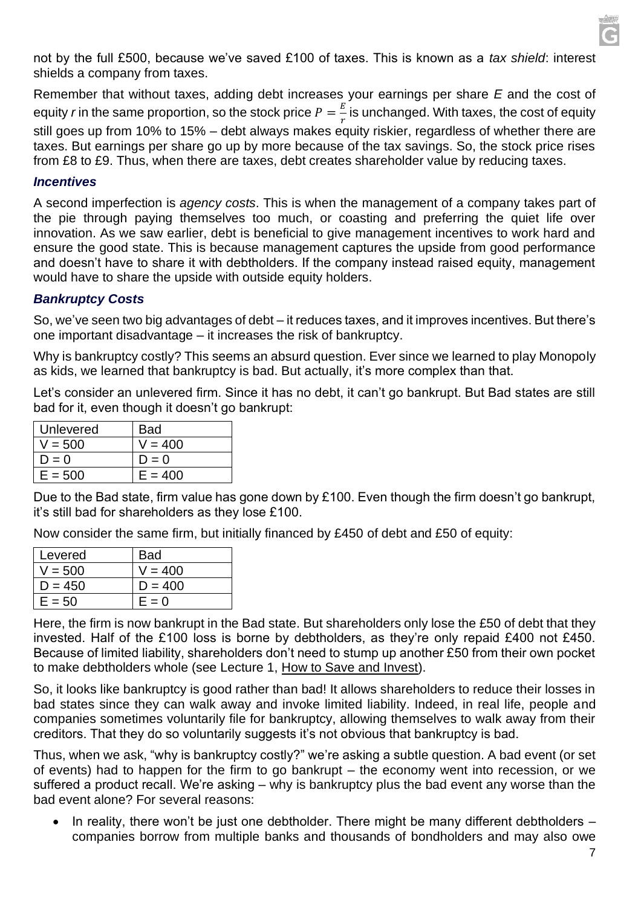not by the full £500, because we've saved £100 of taxes. This is known as a *tax shield*: interest shields a company from taxes.

Remember that without taxes, adding debt increases your earnings per share *E* and the cost of equity *r* in the same proportion, so the stock price  $P = \frac{E}{v}$  $\frac{E}{r}$  is unchanged. With taxes, the cost of equity still goes up from 10% to 15% – debt always makes equity riskier, regardless of whether there are taxes. But earnings per share go up by more because of the tax savings. So, the stock price rises from £8 to £9. Thus, when there are taxes, debt creates shareholder value by reducing taxes.

#### *Incentives*

A second imperfection is *agency costs*. This is when the management of a company takes part of the pie through paying themselves too much, or coasting and preferring the quiet life over innovation. As we saw earlier, debt is beneficial to give management incentives to work hard and ensure the good state. This is because management captures the upside from good performance and doesn't have to share it with debtholders. If the company instead raised equity, management would have to share the upside with outside equity holders.

#### *Bankruptcy Costs*

So, we've seen two big advantages of debt – it reduces taxes, and it improves incentives. But there's one important disadvantage – it increases the risk of bankruptcy.

Why is bankruptcy costly? This seems an absurd question. Ever since we learned to play Monopoly as kids, we learned that bankruptcy is bad. But actually, it's more complex than that.

Let's consider an unlevered firm. Since it has no debt, it can't go bankrupt. But Bad states are still bad for it, even though it doesn't go bankrupt:

| Unlevered | <b>Bad</b> |
|-----------|------------|
| V = 500   | V = 400    |
| $D = 0$   | $D = 0$    |
| $E = 500$ | $E = 400$  |

Due to the Bad state, firm value has gone down by £100. Even though the firm doesn't go bankrupt, it's still bad for shareholders as they lose £100.

Now consider the same firm, but initially financed by £450 of debt and £50 of equity:

| Levered   | <b>Bad</b> |
|-----------|------------|
| V = 500   | $V = 400$  |
| $D = 450$ | $D = 400$  |
| $E = 50$  | $E = 0$    |

Here, the firm is now bankrupt in the Bad state. But shareholders only lose the £50 of debt that they invested. Half of the £100 loss is borne by debtholders, as they're only repaid £400 not £450. Because of limited liability, shareholders don't need to stump up another £50 from their own pocket to make debtholders whole (see Lecture 1, How to Save and Invest).

So, it looks like bankruptcy is good rather than bad! It allows shareholders to reduce their losses in bad states since they can walk away and invoke limited liability. Indeed, in real life, people and companies sometimes voluntarily file for bankruptcy, allowing themselves to walk away from their creditors. That they do so voluntarily suggests it's not obvious that bankruptcy is bad.

Thus, when we ask, "why is bankruptcy costly?" we're asking a subtle question. A bad event (or set of events) had to happen for the firm to go bankrupt – the economy went into recession, or we suffered a product recall. We're asking – why is bankruptcy plus the bad event any worse than the bad event alone? For several reasons:

In reality, there won't be just one debtholder. There might be many different debtholders  $$ companies borrow from multiple banks and thousands of bondholders and may also owe